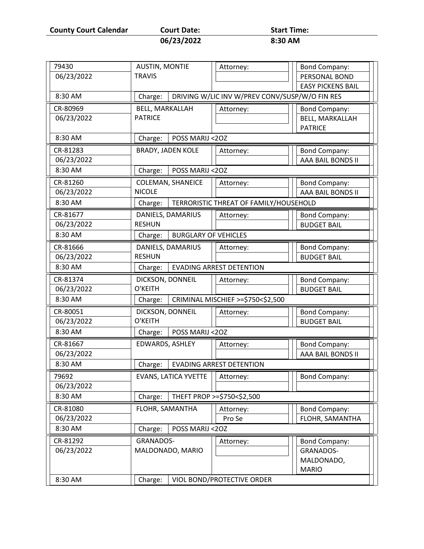**County Court Calendar Court Date:** Start Time:<br>06/23/2022 **8:30 AM** 

|  | Court Date: |  |
|--|-------------|--|
|  | 06/23/2022  |  |

| 79430      | <b>AUSTIN, MONTIE</b>       | Attorney:                                      | <b>Bond Company:</b>                      |
|------------|-----------------------------|------------------------------------------------|-------------------------------------------|
| 06/23/2022 | <b>TRAVIS</b>               |                                                | PERSONAL BOND                             |
|            |                             |                                                | <b>EASY PICKENS BAIL</b>                  |
| 8:30 AM    | Charge:                     | DRIVING W/LIC INV W/PREV CONV/SUSP/W/O FIN RES |                                           |
| CR-80969   | <b>BELL, MARKALLAH</b>      | Attorney:                                      | <b>Bond Company:</b>                      |
| 06/23/2022 | <b>PATRICE</b>              |                                                | <b>BELL, MARKALLAH</b>                    |
|            |                             |                                                | <b>PATRICE</b>                            |
| 8:30 AM    | POSS MARIJ <20Z<br>Charge:  |                                                |                                           |
| CR-81283   | <b>BRADY, JADEN KOLE</b>    | Attorney:                                      | <b>Bond Company:</b>                      |
| 06/23/2022 |                             |                                                | AAA BAIL BONDS II                         |
| 8:30 AM    | Charge:<br>POSS MARIJ <20Z  |                                                |                                           |
| CR-81260   | <b>COLEMAN, SHANEICE</b>    | Attorney:                                      | <b>Bond Company:</b>                      |
| 06/23/2022 | <b>NICOLE</b>               |                                                | AAA BAIL BONDS II                         |
| 8:30 AM    | Charge:                     | TERRORISTIC THREAT OF FAMILY/HOUSEHOLD         |                                           |
| CR-81677   | DANIELS, DAMARIUS           | Attorney:                                      | <b>Bond Company:</b>                      |
| 06/23/2022 | <b>RESHUN</b>               |                                                | <b>BUDGET BAIL</b>                        |
| 8:30 AM    | Charge:                     | <b>BURGLARY OF VEHICLES</b>                    |                                           |
| CR-81666   | DANIELS, DAMARIUS           | Attorney:                                      | <b>Bond Company:</b>                      |
| 06/23/2022 | <b>RESHUN</b>               |                                                | <b>BUDGET BAIL</b>                        |
| 8:30 AM    | Charge:                     | <b>EVADING ARREST DETENTION</b>                |                                           |
| CR-81374   | DICKSON, DONNEIL            | Attorney:                                      | <b>Bond Company:</b>                      |
| 06/23/2022 | O'KEITH                     |                                                | <b>BUDGET BAIL</b>                        |
| 8:30 AM    | Charge:                     | CRIMINAL MISCHIEF >=\$750<\$2,500              |                                           |
| CR-80051   | DICKSON, DONNEIL            | Attorney:                                      | <b>Bond Company:</b>                      |
| 06/23/2022 | O'KEITH                     |                                                | <b>BUDGET BAIL</b>                        |
| 8:30 AM    | POSS MARIJ <20Z<br>Charge:  |                                                |                                           |
| CR-81667   | EDWARDS, ASHLEY             |                                                |                                           |
| 06/23/2022 |                             | Attorney:                                      | <b>Bond Company:</b><br>AAA BAIL BONDS II |
| 8:30 AM    |                             | <b>EVADING ARREST DETENTION</b>                |                                           |
|            | Charge:                     |                                                |                                           |
| 79692      | <b>EVANS, LATICA YVETTE</b> | Attorney:                                      | <b>Bond Company:</b>                      |
| 06/23/2022 |                             |                                                |                                           |
| 8:30 AM    | Charge:                     | THEFT PROP >=\$750<\$2,500                     |                                           |
| CR-81080   | FLOHR, SAMANTHA             | Attorney:                                      | <b>Bond Company:</b>                      |
| 06/23/2022 |                             | Pro Se                                         | FLOHR, SAMANTHA                           |
| 8:30 AM    | POSS MARIJ <20Z<br>Charge:  |                                                |                                           |
| CR-81292   | <b>GRANADOS-</b>            | Attorney:                                      | <b>Bond Company:</b>                      |
| 06/23/2022 | MALDONADO, MARIO            |                                                | GRANADOS-                                 |
|            |                             |                                                | MALDONADO,                                |
|            |                             |                                                | <b>MARIO</b>                              |
| 8:30 AM    | Charge:                     | VIOL BOND/PROTECTIVE ORDER                     |                                           |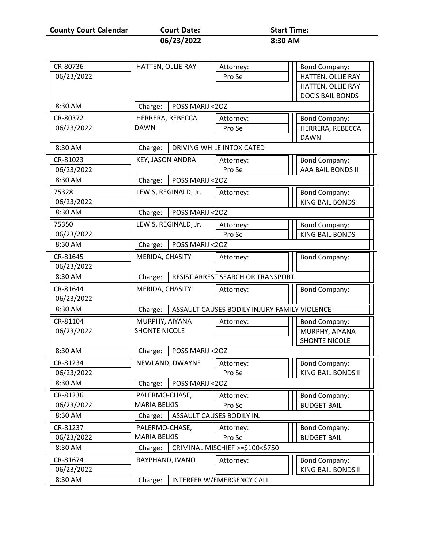**County Court Calendar Court Date:** Start Time:<br>06/23/2022 8:30 AM

| Court Date: |  |
|-------------|--|
| 06/23/2022  |  |

|            | HATTEN, OLLIE RAY          | Attorney:                                    | <b>Bond Company:</b>    |
|------------|----------------------------|----------------------------------------------|-------------------------|
| 06/23/2022 |                            | Pro Se                                       | HATTEN, OLLIE RAY       |
|            |                            |                                              | HATTEN, OLLIE RAY       |
|            |                            |                                              | <b>DOC'S BAIL BONDS</b> |
| 8:30 AM    | POSS MARIJ <20Z<br>Charge: |                                              |                         |
| CR-80372   | HERRERA, REBECCA           | Attorney:                                    | <b>Bond Company:</b>    |
| 06/23/2022 | <b>DAWN</b>                | Pro Se                                       | HERRERA, REBECCA        |
|            |                            |                                              | <b>DAWN</b>             |
| 8:30 AM    | Charge:                    | DRIVING WHILE INTOXICATED                    |                         |
| CR-81023   | <b>KEY, JASON ANDRA</b>    | Attorney:                                    | <b>Bond Company:</b>    |
| 06/23/2022 |                            | Pro Se                                       | AAA BAIL BONDS II       |
| 8:30 AM    | POSS MARIJ <20Z<br>Charge: |                                              |                         |
| 75328      | LEWIS, REGINALD, Jr.       | Attorney:                                    | <b>Bond Company:</b>    |
| 06/23/2022 |                            |                                              | <b>KING BAIL BONDS</b>  |
| 8:30 AM    | POSS MARIJ <20Z<br>Charge: |                                              |                         |
| 75350      | LEWIS, REGINALD, Jr.       | Attorney:                                    | <b>Bond Company:</b>    |
| 06/23/2022 |                            | Pro Se                                       | <b>KING BAIL BONDS</b>  |
| 8:30 AM    | POSS MARIJ <20Z<br>Charge: |                                              |                         |
| CR-81645   | MERIDA, CHASITY            | Attorney:                                    | <b>Bond Company:</b>    |
| 06/23/2022 |                            |                                              |                         |
| 8:30 AM    | Charge:                    | RESIST ARREST SEARCH OR TRANSPORT            |                         |
| CR-81644   | MERIDA, CHASITY            | Attorney:                                    | <b>Bond Company:</b>    |
| 06/23/2022 |                            |                                              |                         |
| 8:30 AM    | Charge:                    | ASSAULT CAUSES BODILY INJURY FAMILY VIOLENCE |                         |
|            | MURPHY, AIYANA             | Attorney:                                    | <b>Bond Company:</b>    |
| CR-81104   |                            |                                              |                         |
| 06/23/2022 | <b>SHONTE NICOLE</b>       |                                              | MURPHY, AIYANA          |
|            |                            |                                              | <b>SHONTE NICOLE</b>    |
| 8:30 AM    | POSS MARIJ <20Z<br>Charge: |                                              |                         |
| CR-81234   | NEWLAND, DWAYNE            | Attorney:                                    | <b>Bond Company:</b>    |
| 06/23/2022 |                            | Pro Se                                       | KING BAIL BONDS II      |
| 8:30 AM    | POSS MARIJ <20Z<br>Charge: |                                              |                         |
| CR-81236   | PALERMO-CHASE,             | Attorney:                                    | <b>Bond Company:</b>    |
| 06/23/2022 | <b>MARIA BELKIS</b>        | Pro Se                                       | <b>BUDGET BAIL</b>      |
| 8:30 AM    | Charge:                    | ASSAULT CAUSES BODILY INJ                    |                         |
| CR-81237   | PALERMO-CHASE,             | Attorney:                                    | <b>Bond Company:</b>    |
| 06/23/2022 | <b>MARIA BELKIS</b>        | Pro Se                                       | <b>BUDGET BAIL</b>      |
| 8:30 AM    | Charge:                    | CRIMINAL MISCHIEF >=\$100<\$750              |                         |
| CR-81674   | RAYPHAND, IVANO            | Attorney:                                    | <b>Bond Company:</b>    |
| 06/23/2022 |                            |                                              | KING BAIL BONDS II      |